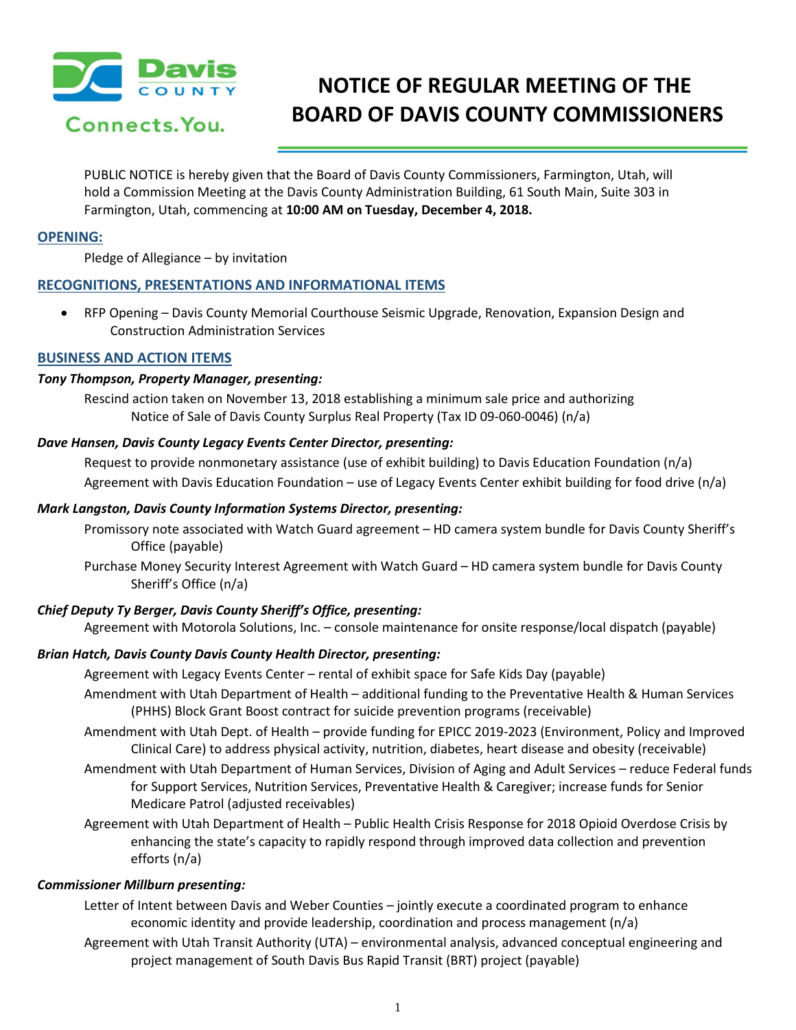

# **NOTICE OF REGULAR MEETING OF THE BOARD OF DAVIS COUNTY COMMISSIONERS**

PUBLIC NOTICE is hereby given that the Board of Davis County Commissioners, Farmington, Utah, will hold a Commission Meeting at the Davis County Administration Building, 61 South Main, Suite 303 in Farmington, Utah, commencing at **10:00 AM on Tuesday, December 4, 2018.**

# **OPENING:**

Pledge of Allegiance – by invitation

# **RECOGNITIONS, PRESENTATIONS AND INFORMATIONAL ITEMS**

• RFP Opening – Davis County Memorial Courthouse Seismic Upgrade, Renovation, Expansion Design and Construction Administration Services

#### **BUSINESS AND ACTION ITEMS**

#### *Tony Thompson, Property Manager, presenting:*

Rescind action taken on November 13, 2018 establishing a minimum sale price and authorizing Notice of Sale of Davis County Surplus Real Property (Tax ID 09-060-0046) (n/a)

#### *Dave Hansen, Davis County Legacy Events Center Director, presenting:*

Request to provide nonmonetary assistance (use of exhibit building) to Davis Education Foundation (n/a) Agreement with Davis Education Foundation – use of Legacy Events Center exhibit building for food drive (n/a)

#### *Mark Langston, Davis County Information Systems Director, presenting:*

- Promissory note associated with Watch Guard agreement HD camera system bundle for Davis County Sheriff's Office (payable)
- Purchase Money Security Interest Agreement with Watch Guard HD camera system bundle for Davis County Sheriff's Office (n/a)

# *Chief Deputy Ty Berger, Davis County Sheriff's Office, presenting:*

Agreement with Motorola Solutions, Inc. – console maintenance for onsite response/local dispatch (payable)

# *Brian Hatch, Davis County Davis County Health Director, presenting:*

- Agreement with Legacy Events Center rental of exhibit space for Safe Kids Day (payable)
- Amendment with Utah Department of Health additional funding to the Preventative Health & Human Services (PHHS) Block Grant Boost contract for suicide prevention programs (receivable)
- Amendment with Utah Dept. of Health provide funding for EPICC 2019-2023 (Environment, Policy and Improved Clinical Care) to address physical activity, nutrition, diabetes, heart disease and obesity (receivable)
- Amendment with Utah Department of Human Services, Division of Aging and Adult Services reduce Federal funds for Support Services, Nutrition Services, Preventative Health & Caregiver; increase funds for Senior Medicare Patrol (adjusted receivables)
- Agreement with Utah Department of Health Public Health Crisis Response for 2018 Opioid Overdose Crisis by enhancing the state's capacity to rapidly respond through improved data collection and prevention efforts (n/a)

#### *Commissioner Millburn presenting:*

- Letter of Intent between Davis and Weber Counties jointly execute a coordinated program to enhance economic identity and provide leadership, coordination and process management (n/a)
- Agreement with Utah Transit Authority (UTA) environmental analysis, advanced conceptual engineering and project management of South Davis Bus Rapid Transit (BRT) project (payable)